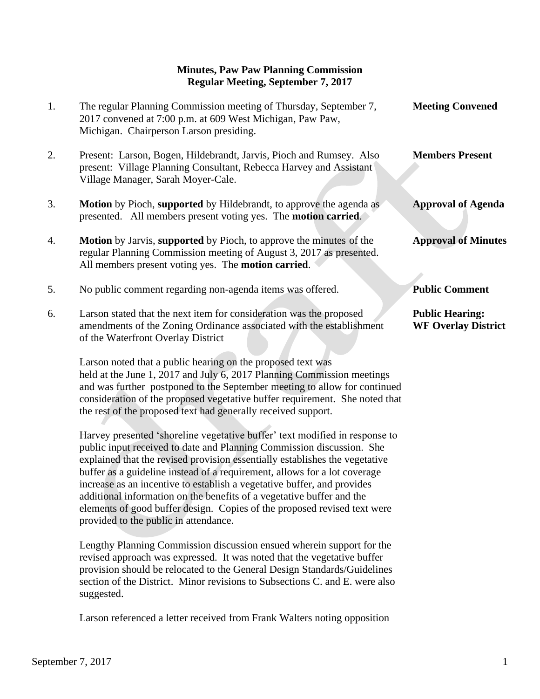## **Minutes, Paw Paw Planning Commission Regular Meeting, September 7, 2017**

| 1. | The regular Planning Commission meeting of Thursday, September 7,<br>2017 convened at 7:00 p.m. at 609 West Michigan, Paw Paw,<br>Michigan. Chairperson Larson presiding.                                        | <b>Meeting Convened</b>                              |
|----|------------------------------------------------------------------------------------------------------------------------------------------------------------------------------------------------------------------|------------------------------------------------------|
| 2. | Present: Larson, Bogen, Hildebrandt, Jarvis, Pioch and Rumsey. Also<br>present: Village Planning Consultant, Rebecca Harvey and Assistant<br>Village Manager, Sarah Moyer-Cale.                                  | <b>Members Present</b>                               |
| 3. | <b>Motion</b> by Pioch, supported by Hildebrandt, to approve the agenda as<br>presented. All members present voting yes. The <b>motion carried</b> .                                                             | <b>Approval of Agenda</b>                            |
| 4. | <b>Motion</b> by Jarvis, supported by Pioch, to approve the minutes of the<br>regular Planning Commission meeting of August 3, 2017 as presented.<br>All members present voting yes. The <b>motion carried</b> . | <b>Approval of Minutes</b>                           |
| 5. | No public comment regarding non-agenda items was offered.                                                                                                                                                        | <b>Public Comment</b>                                |
| 6. | Larson stated that the next item for consideration was the proposed<br>amendments of the Zoning Ordinance associated with the establishment<br>of the Waterfront Overlay District                                | <b>Public Hearing:</b><br><b>WF Overlay District</b> |
|    | Larson noted that a public hearing on the proposed text was<br>held at the June 1, 2017 and July 6, 2017 Planning Commission meetings                                                                            |                                                      |

 and was further postponed to the September meeting to allow for continued consideration of the proposed vegetative buffer requirement. She noted that the rest of the proposed text had generally received support.

 Harvey presented 'shoreline vegetative buffer' text modified in response to public input received to date and Planning Commission discussion. She explained that the revised provision essentially establishes the vegetative buffer as a guideline instead of a requirement, allows for a lot coverage increase as an incentive to establish a vegetative buffer, and provides additional information on the benefits of a vegetative buffer and the elements of good buffer design. Copies of the proposed revised text were provided to the public in attendance.

 Lengthy Planning Commission discussion ensued wherein support for the revised approach was expressed. It was noted that the vegetative buffer provision should be relocated to the General Design Standards/Guidelines section of the District. Minor revisions to Subsections C. and E. were also suggested.

Larson referenced a letter received from Frank Walters noting opposition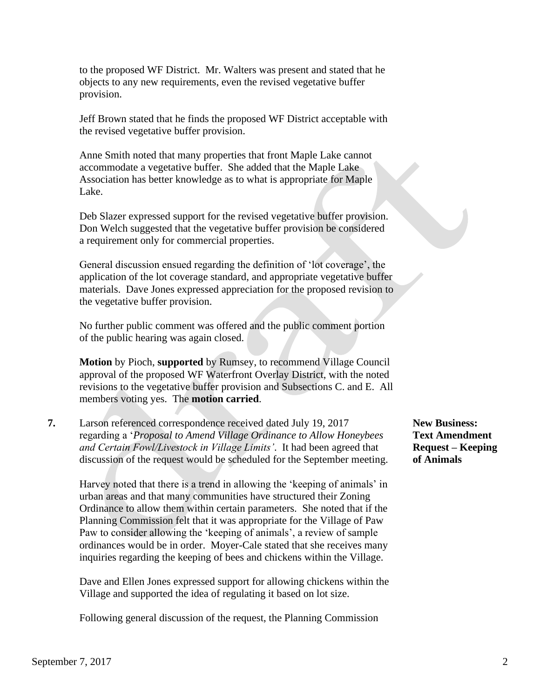to the proposed WF District. Mr. Walters was present and stated that he objects to any new requirements, even the revised vegetative buffer provision.

 Jeff Brown stated that he finds the proposed WF District acceptable with the revised vegetative buffer provision.

 Anne Smith noted that many properties that front Maple Lake cannot accommodate a vegetative buffer. She added that the Maple Lake Association has better knowledge as to what is appropriate for Maple Lake.

 Deb Slazer expressed support for the revised vegetative buffer provision. Don Welch suggested that the vegetative buffer provision be considered a requirement only for commercial properties.

 General discussion ensued regarding the definition of 'lot coverage', the application of the lot coverage standard, and appropriate vegetative buffer materials. Dave Jones expressed appreciation for the proposed revision to the vegetative buffer provision.

 No further public comment was offered and the public comment portion of the public hearing was again closed.

**Motion** by Pioch, **supported** by Rumsey, to recommend Village Council approval of the proposed WF Waterfront Overlay District, with the noted revisions to the vegetative buffer provision and Subsections C. and E. All members voting yes. The **motion carried**.

**7.** Larson referenced correspondence received dated July 19, 2017 **New Business:** regarding a '*Proposal to Amend Village Ordinance to Allow Honeybees* **Text Amendment** *and Certain Fowl/Livestock in Village Limits'.* It had been agreed that **Request – Keeping** discussion of the request would be scheduled for the September meeting. **of Animals**

 Harvey noted that there is a trend in allowing the 'keeping of animals' in urban areas and that many communities have structured their Zoning Ordinance to allow them within certain parameters. She noted that if the Planning Commission felt that it was appropriate for the Village of Paw Paw to consider allowing the 'keeping of animals', a review of sample ordinances would be in order. Moyer-Cale stated that she receives many inquiries regarding the keeping of bees and chickens within the Village.

 Dave and Ellen Jones expressed support for allowing chickens within the Village and supported the idea of regulating it based on lot size.

Following general discussion of the request, the Planning Commission